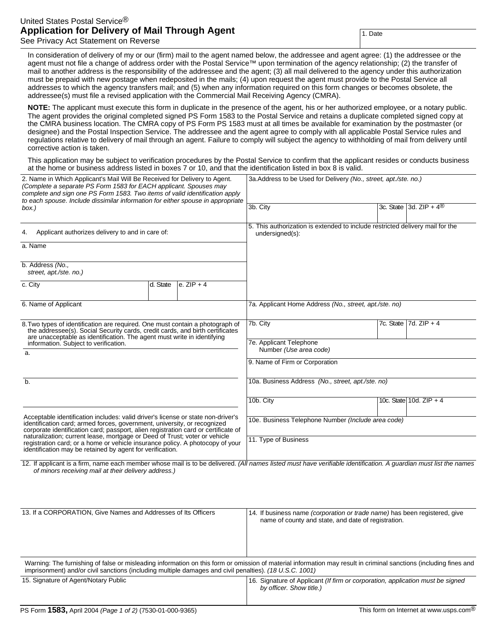## United States Postal Service® **Application for Delivery of Mail Through Agent** See Privacy Act Statement on Reverse

1. Date

In consideration of delivery of my or our (firm) mail to the agent named below, the addressee and agent agree: (1) the addressee or the agent must not file a change of address order with the Postal Service™ upon termination of the agency relationship; (2) the transfer of mail to another address is the responsibility of the addressee and the agent; (3) all mail delivered to the agency under this authorization must be prepaid with new postage when redeposited in the mails; (4) upon request the agent must provide to the Postal Service all addresses to which the agency transfers mail; and (5) when any information required on this form changes or becomes obsolete, the addressee(s) must file a revised application with the Commercial Mail Receiving Agency (CMRA).

**NOTE:** The applicant must execute this form in duplicate in the presence of the agent, his or her authorized employee, or a notary public. The agent provides the original completed signed PS Form 1583 to the Postal Service and retains a duplicate completed signed copy at the CMRA business location. The CMRA copy of PS Form PS 1583 must at all times be available for examination by the postmaster (or designee) and the Postal Inspection Service. The addressee and the agent agree to comply with all applicable Postal Service rules and regulations relative to delivery of mail through an agent. Failure to comply will subject the agency to withholding of mail from delivery until corrective action is taken.

This application may be subject to verification procedures by the Postal Service to confirm that the applicant resides or conducts business at the home or business address listed in boxes 7 or 10, and that the identification listed in box 8 is valid.

| 2. Name in Which Applicant's Mail Will Be Received for Delivery to Agent.<br>(Complete a separate PS Form 1583 for EACH applicant. Spouses may<br>complete and sign one PS Form 1583. Two items of valid identification apply<br>to each spouse. Include dissimilar information for either spouse in appropriate<br>box.)                                                                                                                                                      |          |              | 3a.Address to be Used for Delivery (No., street, apt./ste. no.)                                  |  |                                     |
|--------------------------------------------------------------------------------------------------------------------------------------------------------------------------------------------------------------------------------------------------------------------------------------------------------------------------------------------------------------------------------------------------------------------------------------------------------------------------------|----------|--------------|--------------------------------------------------------------------------------------------------|--|-------------------------------------|
|                                                                                                                                                                                                                                                                                                                                                                                                                                                                                |          |              | 3b. City                                                                                         |  | 3c. State 3d. ZIP + $4^{\circledR}$ |
| Applicant authorizes delivery to and in care of:<br>4.                                                                                                                                                                                                                                                                                                                                                                                                                         |          |              | 5. This authorization is extended to include restricted delivery mail for the<br>undersigned(s): |  |                                     |
| a. Name                                                                                                                                                                                                                                                                                                                                                                                                                                                                        |          |              |                                                                                                  |  |                                     |
| b. Address (No.,<br>street, apt./ste. no.)                                                                                                                                                                                                                                                                                                                                                                                                                                     |          |              |                                                                                                  |  |                                     |
| c. City                                                                                                                                                                                                                                                                                                                                                                                                                                                                        | d. State | e. $ZIP + 4$ |                                                                                                  |  |                                     |
| 6. Name of Applicant                                                                                                                                                                                                                                                                                                                                                                                                                                                           |          |              | 7a. Applicant Home Address (No., street, apt./ste. no)                                           |  |                                     |
| 8. Two types of identification are required. One must contain a photograph of<br>the addressee(s). Social Security cards, credit cards, and birth certificates<br>are unacceptable as identification. The agent must write in identifying<br>information. Subject to verification.<br>a.                                                                                                                                                                                       |          |              | 7b. City<br>7e. Applicant Telephone                                                              |  | 7c. State $\sqrt{7}$ d. ZIP + 4     |
|                                                                                                                                                                                                                                                                                                                                                                                                                                                                                |          |              | Number (Use area code)                                                                           |  |                                     |
|                                                                                                                                                                                                                                                                                                                                                                                                                                                                                |          |              | 9. Name of Firm or Corporation                                                                   |  |                                     |
| $b$ .                                                                                                                                                                                                                                                                                                                                                                                                                                                                          |          |              | 10a. Business Address (No., street, apt./ste. no)                                                |  |                                     |
|                                                                                                                                                                                                                                                                                                                                                                                                                                                                                |          |              | 10b. City                                                                                        |  | 10c. State 10d. $ZIP + 4$           |
| Acceptable identification includes: valid driver's license or state non-driver's<br>identification card; armed forces, government, university, or recognized<br>corporate identification card; passport, alien registration card or certificate of<br>naturalization; current lease, mortgage or Deed of Trust; voter or vehicle<br>registration card; or a home or vehicle insurance policy. A photocopy of your<br>identification may be retained by agent for verification. |          |              | 10e. Business Telephone Number (Include area code)                                               |  |                                     |
|                                                                                                                                                                                                                                                                                                                                                                                                                                                                                |          |              | 11. Type of Business                                                                             |  |                                     |

12. If applicant is a firm, name each member whose mail is to be delivered. (All names listed must have verifiable identification. A quardian must list the names of minors receiving mail at their delivery address.)

| 13. If a CORPORATION, Give Names and Addresses of Its Officers                                                                                                                                                                                                               | 14. If business name <i>(corporation or trade name)</i> has been registered, give<br>name of county and state, and date of registration. |  |  |  |
|------------------------------------------------------------------------------------------------------------------------------------------------------------------------------------------------------------------------------------------------------------------------------|------------------------------------------------------------------------------------------------------------------------------------------|--|--|--|
| Warning: The furnishing of false or misleading information on this form or omission of material information may result in criminal sanctions (including fines and<br>imprisonment) and/or civil sanctions (including multiple damages and civil penalties). (18 U.S.C. 1001) |                                                                                                                                          |  |  |  |
| 15. Signature of Agent/Notary Public                                                                                                                                                                                                                                         | 16. Signature of Applicant (If firm or corporation, application must be signed<br>by officer. Show title.)                               |  |  |  |